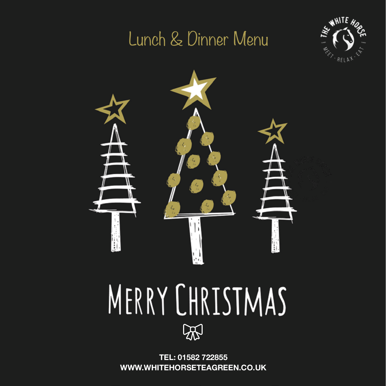# Lunch & Dinner Menu





# MERRY CHRISTMAS R

**TEL: 01582 722855 WWW.WHITEHORSETEAGREEN.CO.UK**